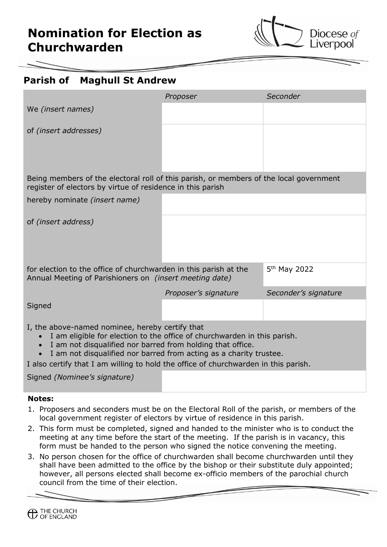

## **Parish of Maghull St Andrew**

|                                                                                                                                                                                                                                                                                                                                                                     | Proposer             | Seconder             |
|---------------------------------------------------------------------------------------------------------------------------------------------------------------------------------------------------------------------------------------------------------------------------------------------------------------------------------------------------------------------|----------------------|----------------------|
| We (insert names)                                                                                                                                                                                                                                                                                                                                                   |                      |                      |
| of <i>(insert addresses)</i>                                                                                                                                                                                                                                                                                                                                        |                      |                      |
|                                                                                                                                                                                                                                                                                                                                                                     |                      |                      |
| Being members of the electoral roll of this parish, or members of the local government<br>register of electors by virtue of residence in this parish                                                                                                                                                                                                                |                      |                      |
| hereby nominate <i>(insert name)</i>                                                                                                                                                                                                                                                                                                                                |                      |                      |
| of (insert address)                                                                                                                                                                                                                                                                                                                                                 |                      |                      |
| 5 <sup>th</sup> May 2022<br>for election to the office of churchwarden in this parish at the<br>Annual Meeting of Parishioners on <i>(insert meeting date)</i>                                                                                                                                                                                                      |                      |                      |
|                                                                                                                                                                                                                                                                                                                                                                     | Proposer's signature | Seconder's signature |
| Signed                                                                                                                                                                                                                                                                                                                                                              |                      |                      |
| I, the above-named nominee, hereby certify that<br>I am eligible for election to the office of churchwarden in this parish.<br>$\bullet$<br>I am not disqualified nor barred from holding that office.<br>I am not disqualified nor barred from acting as a charity trustee.<br>I also certify that I am willing to hold the office of churchwarden in this parish. |                      |                      |
| Signed (Nominee's signature)                                                                                                                                                                                                                                                                                                                                        |                      |                      |
|                                                                                                                                                                                                                                                                                                                                                                     |                      |                      |

## **Notes:**

- 1. Proposers and seconders must be on the Electoral Roll of the parish, or members of the local government register of electors by virtue of residence in this parish.
- 2. This form must be completed, signed and handed to the minister who is to conduct the meeting at any time before the start of the meeting. If the parish is in vacancy, this form must be handed to the person who signed the notice convening the meeting.
- 3. No person chosen for the office of churchwarden shall become churchwarden until they shall have been admitted to the office by the bishop or their substitute duly appointed; however, all persons elected shall become ex-officio members of the parochial church council from the time of their election.